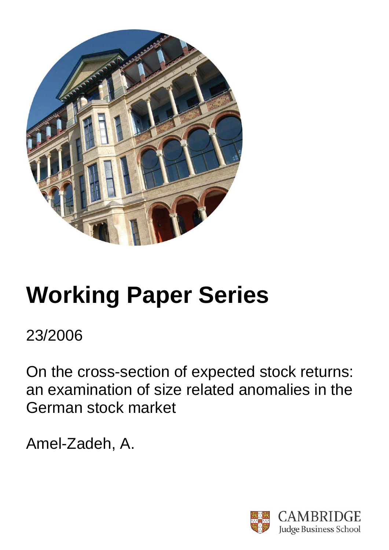

# **Working Paper Series**

23/2006

On the cross-section of expected stock returns: an examination of size related anomalies in the German stock market

Amel-Zadeh, A.

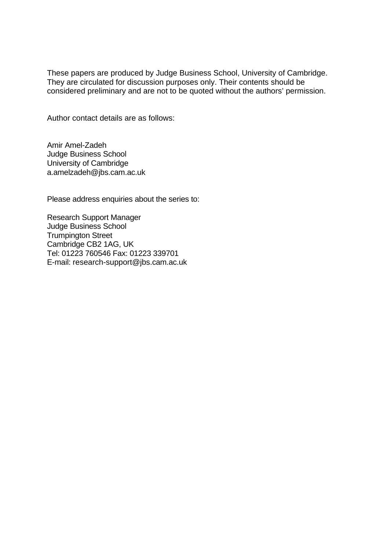These papers are produced by Judge Business School, University of Cambridge. They are circulated for discussion purposes only. Their contents should be considered preliminary and are not to be quoted without the authors' permission.

Author contact details are as follows:

Amir Amel-Zadeh Judge Business School University of Cambridge a.amelzadeh@jbs.cam.ac.uk

Please address enquiries about the series to:

Research Support Manager Judge Business School Trumpington Street Cambridge CB2 1AG, UK Tel: 01223 760546 Fax: 01223 339701 E-mail: research-support@jbs.cam.ac.uk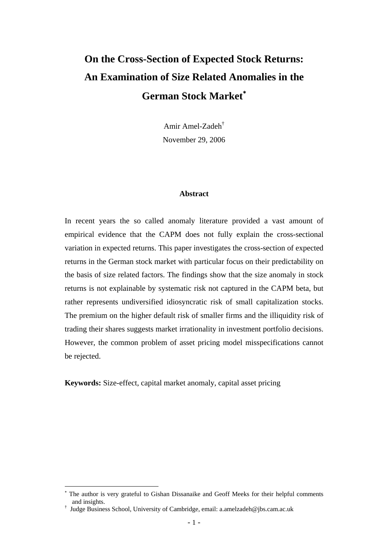# **On the Cross-Section of Expected Stock Returns: An Examination of Size Related Anomalies in the German Stock Market**[∗](#page-2-0)

Amir Amel-Zade[h†](#page-2-1) November 29, 2006

#### **Abstract**

In recent years the so called anomaly literature provided a vast amount of empirical evidence that the CAPM does not fully explain the cross-sectional variation in expected returns. This paper investigates the cross-section of expected returns in the German stock market with particular focus on their predictability on the basis of size related factors. The findings show that the size anomaly in stock returns is not explainable by systematic risk not captured in the CAPM beta, but rather represents undiversified idiosyncratic risk of small capitalization stocks. The premium on the higher default risk of smaller firms and the illiquidity risk of trading their shares suggests market irrationality in investment portfolio decisions. However, the common problem of asset pricing model misspecifications cannot be rejected.

**Keywords:** Size-effect, capital market anomaly, capital asset pricing

<span id="page-2-0"></span><sup>∗</sup> The author is very grateful to Gishan Dissanaike and Geoff Meeks for their helpful comments and insights.

<span id="page-2-1"></span><sup>†</sup> Judge Business School, University of Cambridge, email: a.amelzadeh@jbs.cam.ac.uk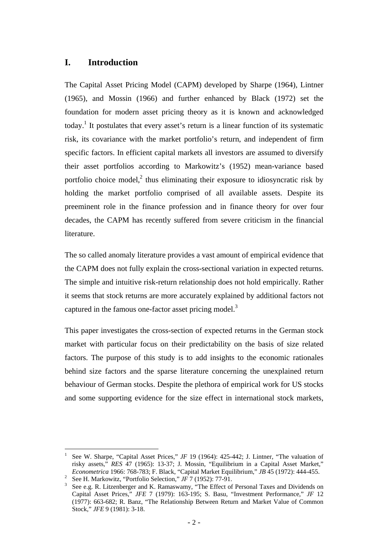# **I. Introduction**

The Capital Asset Pricing Model (CAPM) developed by Sharpe (1964), Lintner (1965), and Mossin (1966) and further enhanced by Black (1972) set the foundation for modern asset pricing theory as it is known and acknowledged today.<sup>[1](#page-3-0)</sup> It postulates that every asset's return is a linear function of its systematic risk, its covariance with the market portfolio's return, and independent of firm specific factors. In efficient capital markets all investors are assumed to diversify their asset portfolios according to Markowitz's (1952) mean-variance based portfolio choice model,<sup>[2](#page-3-1)</sup> thus eliminating their exposure to idiosyncratic risk by holding the market portfolio comprised of all available assets. Despite its preeminent role in the finance profession and in finance theory for over four decades, the CAPM has recently suffered from severe criticism in the financial literature.

The so called anomaly literature provides a vast amount of empirical evidence that the CAPM does not fully explain the cross-sectional variation in expected returns. The simple and intuitive risk-return relationship does not hold empirically. Rather it seems that stock returns are more accurately explained by additional factors not captured in the famous one-factor asset pricing model. $3$ 

This paper investigates the cross-section of expected returns in the German stock market with particular focus on their predictability on the basis of size related factors. The purpose of this study is to add insights to the economic rationales behind size factors and the sparse literature concerning the unexplained return behaviour of German stocks. Despite the plethora of empirical work for US stocks and some supporting evidence for the size effect in international stock markets,

<span id="page-3-0"></span><sup>1</sup> See W. Sharpe, "Capital Asset Prices," *JF* 19 (1964): 425-442; J. Lintner, "The valuation of risky assets," *RES* 47 (1965): 13-37; J. Mossin, "Equilibrium in a Capital Asset Market," *Econometrica* 1966: 768-783; F. Black, "Capital Market Equilibrium," *JB* 45 (1972): 444-455. See H. Markowitz, "Portfolio Selection," *JF* 7 (1952): 77-91.

<span id="page-3-1"></span>

<span id="page-3-2"></span>See e.g. R. Litzenberger and K. Ramaswamy, "The Effect of Personal Taxes and Dividends on Capital Asset Prices," *JFE* 7 (1979): 163-195; S. Basu, "Investment Performance," *JF* 12 (1977): 663-682; R. Banz, "The Relationship Between Return and Market Value of Common Stock," *JFE* 9 (1981): 3-18.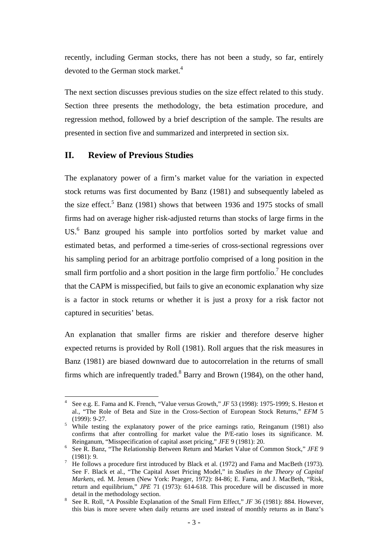recently, including German stocks, there has not been a study, so far, entirely devoted to the German stock market.<sup>[4](#page-4-0)</sup>

The next section discusses previous studies on the size effect related to this study. Section three presents the methodology, the beta estimation procedure, and regression method, followed by a brief description of the sample. The results are presented in section five and summarized and interpreted in section six.

# **II. Review of Previous Studies**

 $\overline{a}$ 

The explanatory power of a firm's market value for the variation in expected stock returns was first documented by Banz (1981) and subsequently labeled as the size effect.<sup>5</sup> Banz (1981) shows that between 1936 and 1975 stocks of small firms had on average higher risk-adjusted returns than stocks of large firms in the US.<sup>6</sup>Banz grouped his sample into portfolios sorted by market value and estimated betas, and performed a time-series of cross-sectional regressions over his sampling period for an arbitrage portfolio comprised of a long position in the small firm portfolio and a short position in the large firm portfolio.<sup>7</sup> He concludes that the CAPM is misspecified, but fails to give an economic explanation why size is a factor in stock returns or whether it is just a proxy for a risk factor not captured in securities' betas.

An explanation that smaller firms are riskier and therefore deserve higher expected returns is provided by Roll (1981). Roll argues that the risk measures in Banz (1981) are biased downward due to autocorrelation in the returns of small firms which are infrequently traded.<sup>8</sup> Barry and Brown (1984), on the other hand,

<span id="page-4-0"></span><sup>4</sup> See e.g. E. Fama and K. French, "Value versus Growth," *JF* 53 (1998): 1975-1999; S. Heston et al., "The Role of Beta and Size in the Cross-Section of European Stock Returns," *EFM* 5 (1999): 9-27. 5 While testing the explanatory power of the price earnings ratio, Reinganum (1981) also

<span id="page-4-1"></span>confirms that after controlling for market value the P/E-ratio loses its significance. M.

<span id="page-4-2"></span>Reinganum, "Misspecification of capital asset pricing," *JFE* 9 (1981): 20.<br><sup>6</sup> See R. Banz, "The Relationship Between Return and Market Value of Common Stock," *JFE* 9 (1981): 9.<br>He follows a procedure first introduced by Black et al. (1972) and Fama and MacBeth (1973).

<span id="page-4-3"></span>See F. Black et al., "The Capital Asset Pricing Model," in *Studies in the Theory of Capital Markets*, ed. M. Jensen (New York: Praeger, 1972): 84-86; E. Fama, and J. MacBeth, "Risk, return and equilibrium," *JPE* 71 (1973): 614-618. This procedure will be discussed in more detail in the methodology section.<br><sup>8</sup> See R. Roll, "A Possible Explanation of the Small Firm Effect," *JF* 36 (1981): 884. However,

<span id="page-4-4"></span>this bias is more severe when daily returns are used instead of monthly returns as in Banz's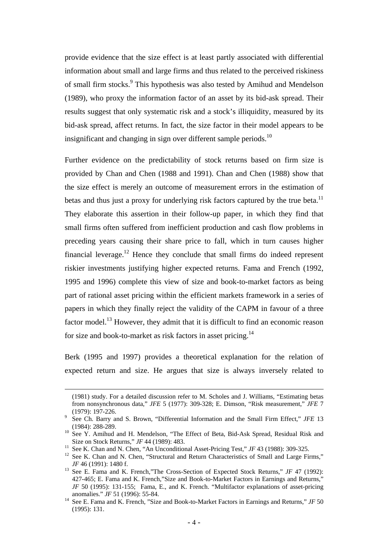provide evidence that the size effect is at least partly associated with differential information about small and large firms and thus related to the perceived riskiness of small firm stocks.<sup>[9](#page-5-0)</sup> This hypothesis was also tested by Amihud and Mendelson (1989), who proxy the information factor of an asset by its bid-ask spread. Their results suggest that only systematic risk and a stock's illiquidity, measured by its bid-ask spread, affect returns. In fact, the size factor in their model appears to be insignificant and changing in sign over different sample periods. $10$ 

Further evidence on the predictability of stock returns based on firm size is provided by Chan and Chen (1988 and 1991). Chan and Chen (1988) show that the size effect is merely an outcome of measurement errors in the estimation of betas and thus just a proxy for underlying risk factors captured by the true beta.<sup>11</sup> They elaborate this assertion in their follow-up paper, in which they find that small firms often suffered from inefficient production and cash flow problems in preceding years causing their share price to fall, which in turn causes higher financial leverage.<sup>12</sup> Hence they conclude that small firms do indeed represent riskier investments justifying higher expected returns. Fama and French (1992, 1995 and 1996) complete this view of size and book-to-market factors as being part of rational asset pricing within the efficient markets framework in a series of papers in which they finally reject the validity of the CAPM in favour of a three factor model.<sup>13</sup> However, they admit that it is difficult to find an economic reason for size and book-to-market as risk factors in asset pricing.<sup>14</sup>

Berk (1995 and 1997) provides a theoretical explanation for the relation of expected return and size. He argues that size is always inversely related to

 <sup>(1981)</sup> study. For a detailed discussion refer to M. Scholes and J. Williams, "Estimating betas from nonsynchronous data," *JFE* 5 (1977): 309-328; E. Dimson, "Risk measurement," *JFE* 7

<span id="page-5-0"></span><sup>(1979): 197-226.&</sup>lt;br>See Ch. Barry and S. Brown, "Differential Information and the Small Firm Effect," *JFE* 13<br>(1984): 288-289.

<span id="page-5-1"></span><sup>&</sup>lt;sup>10</sup> See Y. Amihud and H. Mendelson, "The Effect of Beta, Bid-Ask Spread, Residual Risk and Size on Stock Returns," JF 44 (1989): 483.<br><sup>11</sup> See K. Chan and N. Chen, "An Unconditional Asset-Pricing Test," JF 43 (1988): 309-325.<br><sup>12</sup> See K. Chan and N. Chen, "Structural and Return Characteristics of Small and Larg

<span id="page-5-2"></span>

<span id="page-5-3"></span>*JF* 46 (1991): 1480 f.<br><sup>13</sup> See E. Fama and K. French,"The Cross-Section of Expected Stock Returns," *JF* 47 (1992):

<span id="page-5-4"></span><sup>427-465;</sup> E. Fama and K. French,"Size and Book-to-Market Factors in Earnings and Returns," *JF* 50 (1995): 131-155; Fama, E., and K. French. "Multifactor explanations of asset-pricing

<span id="page-5-5"></span>anomalies." *JF* 51 (1996): 55-84. <br><sup>14</sup> See E. Fama and K. French, "Size and Book-to-Market Factors in Earnings and Returns," *JF* 50 (1995): 131.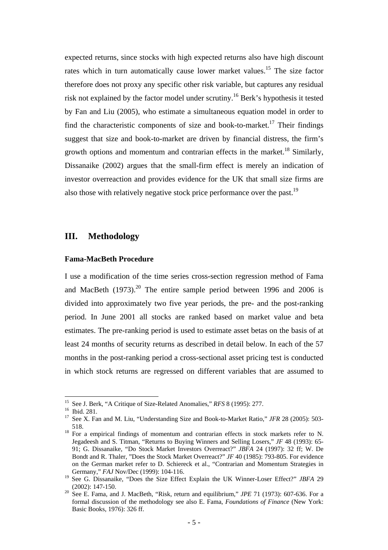expected returns, since stocks with high expected returns also have high discount rates which in turn automatically cause lower market values.<sup>15</sup> The size factor therefore does not proxy any specific other risk variable, but captures any residual risk not explained by the factor model under scrutiny.<sup>16</sup> Berk's hypothesis it tested by Fan and Liu (2005), who estimate a simultaneous equation model in order to find the characteristic components of size and book-to-market.<sup>17</sup> Their findings suggest that size and book-to-market are driven by financial distress, the firm's growth options and momentum and contrarian effects in the market.<sup>18</sup> Similarly, Dissanaike (2002) argues that the small-firm effect is merely an indication of investor overreaction and provides evidence for the UK that small size firms are also those with relatively negative stock price performance over the past.<sup>19</sup>

#### **III. Methodology**

#### **Fama-MacBeth Procedure**

I use a modification of the time series cross-section regression method of Fama and MacBeth  $(1973)$ <sup>20</sup>. The entire sample period between 1996 and 2006 is divided into approximately two five year periods, the pre- and the post-ranking period. In June 2001 all stocks are ranked based on market value and beta estimates. The pre-ranking period is used to estimate asset betas on the basis of at least 24 months of security returns as described in detail below. In each of the 57 months in the post-ranking period a cross-sectional asset pricing test is conducted in which stock returns are regressed on different variables that are assumed to

<span id="page-6-0"></span><sup>&</sup>lt;sup>15</sup> See J. Berk, "A Critique of Size-Related Anomalies," RFS 8 (1995): 277.

<span id="page-6-2"></span><span id="page-6-1"></span>

<sup>&</sup>lt;sup>16</sup> Ibid. 281.<br><sup>17</sup> See X. Fan and M. Liu, "Understanding Size and Book-to-Market Ratio," *JFR* 28 (2005): 503-518.  $18$  For a empirical findings of momentum and contrarian effects in stock markets refer to N.

<span id="page-6-3"></span>Jegadeesh and S. Titman, "Returns to Buying Winners and Selling Losers," *JF* 48 (1993): 65- 91; G. Dissanaike, "Do Stock Market Investors Overreact?" *JBFA* 24 (1997): 32 ff; W. De Bondt and R. Thaler, "Does the Stock Market Overreact?" *JF* 40 (1985): 793-805. For evidence on the German market refer to D. Schiereck et al., "Contrarian and Momentum Strategies in

<span id="page-6-4"></span>Germany," *FAJ* Nov/Dec (1999): 104-116.<br><sup>19</sup> See G. Dissanaike, "Does the Size Effect Explain the UK Winner-Loser Effect?" *JBFA* 29 (2002): 147-150.

<span id="page-6-5"></span><sup>&</sup>lt;sup>20</sup> See E. Fama, and J. MacBeth, "Risk, return and equilibrium," *JPE* 71 (1973): 607-636. For a formal discussion of the methodology see also E. Fama, *Foundations of Finance* (New York: Basic Books, 1976): 326 ff.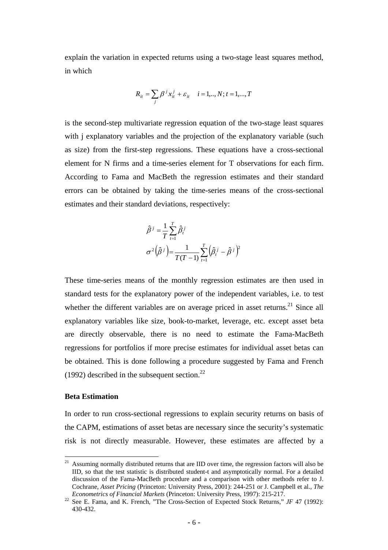explain the variation in expected returns using a two-stage least squares method, in which

$$
R_{it} = \sum_{j} \beta^{j} x_{it}^{j} + \varepsilon_{it} \quad i = 1, ..., N; t = 1, ..., T
$$

is the second-step multivariate regression equation of the two-stage least squares with j explanatory variables and the projection of the explanatory variable (such as size) from the first-step regressions. These equations have a cross-sectional element for N firms and a time-series element for T observations for each firm. According to Fama and MacBeth the regression estimates and their standard errors can be obtained by taking the time-series means of the cross-sectional estimates and their standard deviations, respectively:

$$
\hat{\beta}^j = \frac{1}{T} \sum_{t=1}^T \hat{\beta}_t^j
$$

$$
\sigma^2 (\hat{\beta}^j) = \frac{1}{T(T-1)} \sum_{t=1}^T (\hat{\beta}_t^j - \hat{\beta}^j)^2
$$

These time-series means of the monthly regression estimates are then used in standard tests for the explanatory power of the independent variables, i.e. to test whether the different variables are on average priced in asset returns.<sup>21</sup> Since all explanatory variables like size, book-to-market, leverage, etc. except asset beta are directly observable, there is no need to estimate the Fama-MacBeth regressions for portfolios if more precise estimates for individual asset betas can be obtained. This is done following a procedure suggested by Fama and French (1992) described in the subsequent section. $^{22}$  $^{22}$  $^{22}$ 

#### **Beta Estimation**

In order to run cross-sectional regressions to explain security returns on basis of the CAPM, estimations of asset betas are necessary since the security's systematic risk is not directly measurable. However, these estimates are affected by a

<span id="page-7-0"></span> $21$ <sup>21</sup> Assuming normally distributed returns that are IID over time, the regression factors will also be IID, so that the test statistic is distributed student-t and asymptotically normal. For a detailed discussion of the Fama-MacBeth procedure and a comparison with other methods refer to J. Cochrane, *Asset Pricing* (Princeton: University Press, 2001): 244-251 or J. Campbell et al., *The* 

<span id="page-7-1"></span>*Econometrics of Financial Markets* (Princeton: University Press, 1997): 215-217.<br><sup>22</sup> See E. Fama, and K. French, "The Cross-Section of Expected Stock Returns," *JF* 47 (1992): 430-432.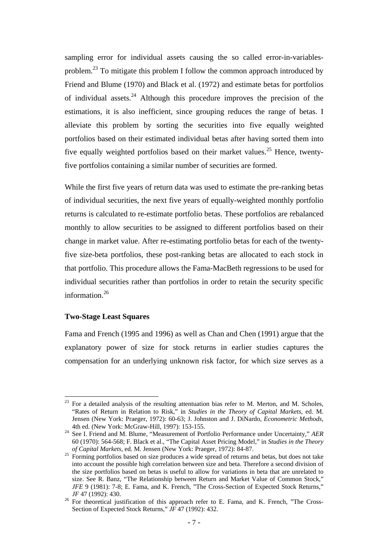sampling error for individual assets causing the so called error-in-variablesproblem.<sup>23</sup> To mitigate this problem I follow the common approach introduced by Friend and Blume (1970) and Black et al. (1972) and estimate betas for portfolios of individual assets.<sup>24</sup> Although this procedure improves the precision of the estimations, it is also inefficient, since grouping reduces the range of betas. I alleviate this problem by sorting the securities into five equally weighted portfolios based on their estimated individual betas after having sorted them into five equally weighted portfolios based on their market values.<sup>25</sup> Hence, twentyfive portfolios containing a similar number of securities are formed.

While the first five years of return data was used to estimate the pre-ranking betas of individual securities, the next five years of equally-weighted monthly portfolio returns is calculated to re-estimate portfolio betas. These portfolios are rebalanced monthly to allow securities to be assigned to different portfolios based on their change in market value. After re-estimating portfolio betas for each of the twentyfive size-beta portfolios, these post-ranking betas are allocated to each stock in that portfolio. This procedure allows the Fama-MacBeth regressions to be used for individual securities rather than portfolios in order to retain the security specific information.<sup>[26](#page-8-3)</sup>

#### **Two-Stage Least Squares**

 $\overline{a}$ 

Fama and French (1995 and 1996) as well as Chan and Chen (1991) argue that the explanatory power of size for stock returns in earlier studies captures the compensation for an underlying unknown risk factor, for which size serves as a

<span id="page-8-0"></span> $^{23}$  For a detailed analysis of the resulting attentuation bias refer to M. Merton, and M. Scholes, "Rates of Return in Relation to Risk," in *Studies in the Theory of Capital Markets*, ed. M. Jensen (New York: Praeger, 1972): 60-63; J. Johnston and J. DiNardo, *Econometric Methods*,

<span id="page-8-1"></span><sup>&</sup>lt;sup>24</sup> See I. Friend and M. Blume, "Measurement of Portfolio Performance under Uncertainty," *AER* 60 (1970): 564-568; F. Black et al., "The Capital Asset Pricing Model," in *Studies in the Theory* 

<span id="page-8-2"></span><sup>&</sup>lt;sup>25</sup> Forming portfolios based on size produces a wide spread of returns and betas, but does not take into account the possible high correlation between size and beta. Therefore a second division of the size portfolios based on betas is useful to allow for variations in beta that are unrelated to size. See R. Banz, "The Relationship between Return and Market Value of Common Stock," *JFE* 9 (1981): 7-8; E. Fama, and K. French, "The Cross-Section of Expected Stock Returns,"

<span id="page-8-3"></span>*JF* 47 (1992): 430.<br><sup>26</sup> For theoretical justification of this approach refer to E. Fama, and K. French, "The Cross-Section of Expected Stock Returns," *JF* 47 (1992): 432.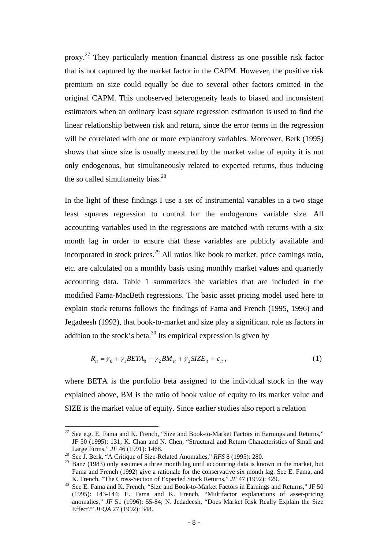proxy.<sup>27</sup> They particularly mention financial distress as one possible risk factor that is not captured by the market factor in the CAPM. However, the positive risk premium on size could equally be due to several other factors omitted in the original CAPM. This unobserved heterogeneity leads to biased and inconsistent estimators when an ordinary least square regression estimation is used to find the linear relationship between risk and return, since the error terms in the regression will be correlated with one or more explanatory variables. Moreover, Berk (1995) shows that since size is usually measured by the market value of equity it is not only endogenous, but simultaneously related to expected returns, thus inducing the so called simultaneity bias. $^{28}$ 

In the light of these findings I use a set of instrumental variables in a two stage least squares regression to control for the endogenous variable size. All accounting variables used in the regressions are matched with returns with a six month lag in order to ensure that these variables are publicly available and incorporated in stock prices.<sup>29</sup> All ratios like book to market, price earnings ratio, etc. are calculated on a monthly basis using monthly market values and quarterly accounting data. Table 1 summarizes the variables that are included in the modified Fama-MacBeth regressions. The basic asset pricing model used here to explain stock returns follows the findings of Fama and French (1995, 1996) and Jegadeesh (1992), that book-to-market and size play a significant role as factors in addition to the stock's beta.<sup>30</sup> Its empirical expression is given by

$$
R_{it} = \gamma_0 + \gamma_1 BETA_{it} + \gamma_2 BM_{it} + \gamma_3 SIZE_{it} + \varepsilon_{it}, \qquad (1)
$$

where BETA is the portfolio beta assigned to the individual stock in the way explained above, BM is the ratio of book value of equity to its market value and SIZE is the market value of equity. Since earlier studies also report a relation

<span id="page-9-0"></span><sup>&</sup>lt;sup>27</sup> See e.g. E. Fama and K. French, "Size and Book-to-Market Factors in Earnings and Returns," JF 50 (1995): 131; K. Chan and N. Chen, "Structural and Return Characteristics of Small and Large Firms," *JF* 46 (1991): 1468.<br><sup>28</sup> See J. Berk, "A Critique of Size-Related Anomalies," *RFS* 8 (1995): 280.<br><sup>29</sup> Banz (1983) only assumes a three month lag until accounting data is known in the market, but

<span id="page-9-1"></span>

<span id="page-9-2"></span>Fama and French (1992) give a rationale for the conservative six month lag. See E. Fama, and K. French, "The Cross-Section of Expected Stock Returns," JF 47 (1992): 429.

<span id="page-9-3"></span>R. French, The Cross-Section of Expected Stock Returns," is a startings and Returns," JF 50<br><sup>30</sup> See E. Fama and K. French, "Size and Book-to-Market Factors in Earnings and Returns," JF 50 (1995): 143-144; E. Fama and K. French, "Multifactor explanations of asset-pricing anomalies," *JF* 51 (1996): 55-84; N. Jedadeesh, "Does Market Risk Really Explain the Size Effect?" *JFQA* 27 (1992): 348.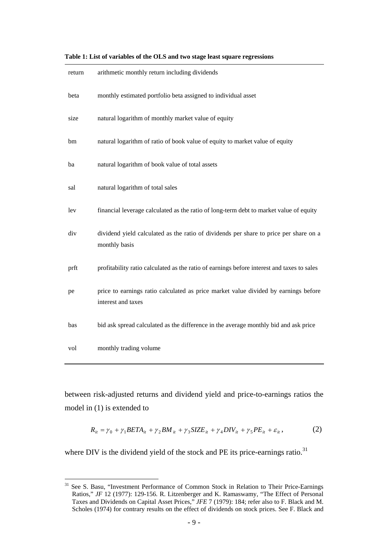| return | arithmetic monthly return including dividends                                                             |
|--------|-----------------------------------------------------------------------------------------------------------|
| beta   | monthly estimated portfolio beta assigned to individual asset                                             |
| size   | natural logarithm of monthly market value of equity                                                       |
| bm     | natural logarithm of ratio of book value of equity to market value of equity                              |
| ba     | natural logarithm of book value of total assets                                                           |
| sal    | natural logarithm of total sales                                                                          |
| lev    | financial leverage calculated as the ratio of long-term debt to market value of equity                    |
| div    | dividend yield calculated as the ratio of dividends per share to price per share on a<br>monthly basis    |
| prft   | profitability ratio calculated as the ratio of earnings before interest and taxes to sales                |
| pe     | price to earnings ratio calculated as price market value divided by earnings before<br>interest and taxes |
| bas    | bid ask spread calculated as the difference in the average monthly bid and ask price                      |
| vol    | monthly trading volume                                                                                    |

**Table 1: List of variables of the OLS and two stage least square regressions** 

between risk-adjusted returns and dividend yield and price-to-earnings ratios the model in (1) is extended to

$$
R_{it} = \gamma_0 + \gamma_1 BETA_{it} + \gamma_2 BM_{it} + \gamma_3 SIZE_{it} + \gamma_4 DIV_{it} + \gamma_5 PE_{it} + \varepsilon_{it}, \qquad (2)
$$

where DIV is the dividend yield of the stock and PE its price-earnings ratio.<sup>31</sup>

<sup>&</sup>lt;sup>31</sup> See S. Basu, "Investment Performance of Common Stock in Relation to Their Price-Earnings Ratios," *JF* 12 (1977): 129-156. R. Litzenberger and K. Ramaswamy, "The Effect of Personal Taxes and Dividends on Capital Asset Prices," *JFE* 7 (1979): 184; refer also to F. Black and M. Scholes (1974) for contrary results on the effect of dividends on stock prices. See F. Black and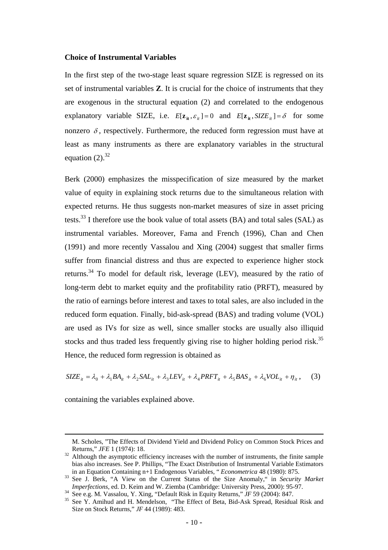#### **Choice of Instrumental Variables**

In the first step of the two-stage least square regression SIZE is regressed on its set of instrumental variables **Z**. It is crucial for the choice of instruments that they are exogenous in the structural equation (2) and correlated to the endogenous explanatory variable SIZE, i.e.  $E[\mathbf{z}_{it}, \varepsilon_{it}] = 0$  and  $E[\mathbf{z}_{it}, SIZE_{it}] = \delta$  for some nonzero  $\delta$ , respectively. Furthermore, the reduced form regression must have at least as many instruments as there are explanatory variables in the structural equation  $(2).^{32}$ 

Berk (2000) emphasizes the misspecification of size measured by the market value of equity in explaining stock returns due to the simultaneous relation with expected returns. He thus suggests non-market measures of size in asset pricing tests.<sup>33</sup> I therefore use the book value of total assets  $(BA)$  and total sales  $(SAL)$  as instrumental variables. Moreover, Fama and French (1996), Chan and Chen (1991) and more recently Vassalou and Xing (2004) suggest that smaller firms suffer from financial distress and thus are expected to experience higher stock returns[.34](#page-11-2) To model for default risk, leverage (LEV), measured by the ratio of long-term debt to market equity and the profitability ratio (PRFT), measured by the ratio of earnings before interest and taxes to total sales, are also included in the reduced form equation. Finally, bid-ask-spread (BAS) and trading volume (VOL) are used as IVs for size as well, since smaller stocks are usually also illiquid stocks and thus traded less frequently giving rise to higher holding period risk.<sup>35</sup> Hence, the reduced form regression is obtained as

$$
SIZE_{it} = \lambda_0 + \lambda_1 BA_{it} + \lambda_2 SAL_{it} + \lambda_3 LEV_{it} + \lambda_4 PRFT_{it} + \lambda_5 BAS_{it} + \lambda_6 VOL_{it} + \eta_{it}, \quad (3)
$$

containing the variables explained above.

M. Scholes, "The Effects of Dividend Yield and Dividend Policy on Common Stock Prices and

<span id="page-11-0"></span>Returns," *JFE* 1 (1974): 18.<br><sup>32</sup> Although the asymptotic efficiency increases with the number of instruments, the finite sample bias also increases. See P. Phillips, "The Exact Distribution of Instrumental Variable Estimators in an Equation Containing n+1 Endogenous Variables, "*Econometrica* 48 (1980): 875.

<span id="page-11-1"></span>In an Equation Containing n+1 Endogenous Variables, "*Econometrica assume the Size Anomaly*," in *Security Market*<br>*Imperfections*, ed. D. Keim and W. Ziemba (Cambridge: University Press, 2000): 95-97.

<span id="page-11-3"></span><span id="page-11-2"></span>

<sup>&</sup>lt;sup>34</sup> See e.g. M. Vassalou, Y. Xing, "Default Risk in Equity Returns," JF 59 (2004): 847.<br><sup>35</sup> See Y. Amihud and H. Mendelson, "The Effect of Beta, Bid-Ask Spread, Residual Risk and Size on Stock Returns," *JF* 44 (1989): 483.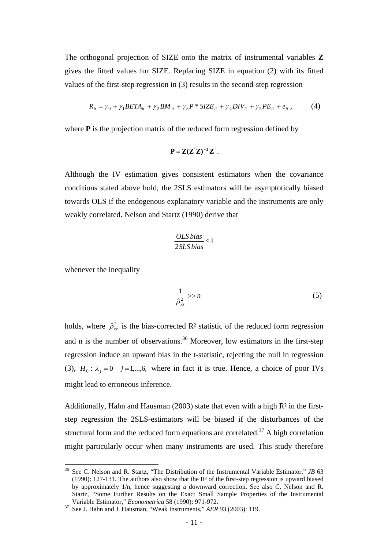The orthogonal projection of SIZE onto the matrix of instrumental variables **Z**  gives the fitted values for SIZE. Replacing SIZE in equation (2) with its fitted values of the first-step regression in (3) results in the second-step regression

$$
R_{it} = \gamma_0 + \gamma_1 BETA_{it} + \gamma_2 BM_{it} + \gamma_3 P * SIZE_{it} + \gamma_4 DIV_{it} + \gamma_5 PE_{it} + e_{it}, \qquad (4)
$$

where **P** is the projection matrix of the reduced form regression defined by

$$
\mathbf{P} = \mathbf{Z}(\mathbf{Z}^{\mathsf{T}}\mathbf{Z})^{-1}\mathbf{Z}^{\mathsf{T}}.
$$

Although the IV estimation gives consistent estimators when the covariance conditions stated above hold, the 2SLS estimators will be asymptotically biased towards OLS if the endogenous explanatory variable and the instruments are only weakly correlated. Nelson and Startz (1990) derive that

$$
\frac{OLS \, bias}{2SLS \, bias} \le 1
$$

whenever the inequality

 $\overline{a}$ 

$$
\frac{1}{\hat{\rho}_{xz}^2} >> n \tag{5}
$$

holds, where  $\hat{\rho}_{xz}^2$  is the bias-corrected R<sup>2</sup> statistic of the reduced form regression and n is the number of observations. [36](#page-12-0) Moreover, low estimators in the first-step regression induce an upward bias in the t-statistic, rejecting the null in regression (3),  $H_0: \lambda_i = 0$  *j* = 1,...,6, where in fact it is true. Hence, a choice of poor IVs might lead to erroneous inference.

Additionally, Hahn and Hausman (2003) state that even with a high  $R<sup>2</sup>$  in the firststep regression the 2SLS-estimators will be biased if the disturbances of the structural form and the reduced form equations are correlated.<sup>37</sup> A high correlation might particularly occur when many instruments are used. This study therefore

<span id="page-12-0"></span><sup>36</sup> See C. Nelson and R. Startz, "The Distribution of the Instrumental Variable Estimator," *JB* 63 (1990): 127-131. The authors also show that the  $\mathbb{R}^2$  of the first-step regression is upward biased by approximately 1/n, hence suggesting a downward correction. See also C. Nelson and R. Startz, "Some Further Results on the Exact Small Sample Properties of the Instrumental

<span id="page-12-1"></span><sup>&</sup>lt;sup>37</sup> See J. Hahn and J. Hausman, "Weak Instruments," *AER* 93 (2003): 119.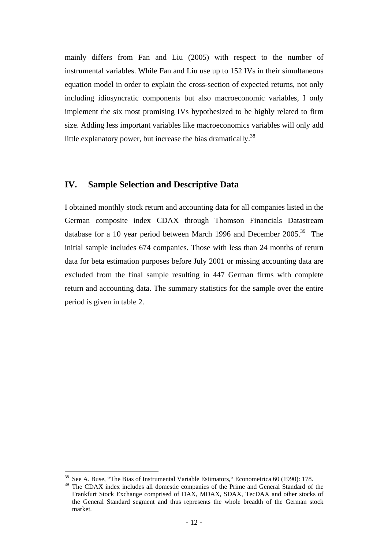mainly differs from Fan and Liu (2005) with respect to the number of instrumental variables. While Fan and Liu use up to 152 IVs in their simultaneous equation model in order to explain the cross-section of expected returns, not only including idiosyncratic components but also macroeconomic variables, I only implement the six most promising IVs hypothesized to be highly related to firm size. Adding less important variables like macroeconomics variables will only add little explanatory power, but increase the bias dramatically.<sup>38</sup>

## **IV. Sample Selection and Descriptive Data**

I obtained monthly stock return and accounting data for all companies listed in the German composite index CDAX through Thomson Financials Datastream database for a 10 year period between March 1996 and December 2005.<sup>39</sup> The initial sample includes 674 companies. Those with less than 24 months of return data for beta estimation purposes before July 2001 or missing accounting data are excluded from the final sample resulting in 447 German firms with complete return and accounting data. The summary statistics for the sample over the entire period is given in table 2.

<span id="page-13-0"></span><sup>&</sup>lt;sup>38</sup> See A. Buse, "The Bias of Instrumental Variable Estimators," Econometrica 60 (1990): 178.<br><sup>39</sup> The CDAX index includes all domestic companies of the Prime and General Standard of

<span id="page-13-1"></span>The CDAX index includes all domestic companies of the Prime and General Standard of the Frankfurt Stock Exchange comprised of DAX, MDAX, SDAX, TecDAX and other stocks of the General Standard segment and thus represents the whole breadth of the German stock market.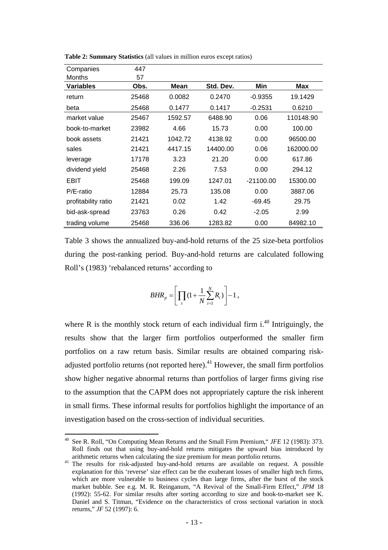| Companies           | 447   |         |           |             |           |
|---------------------|-------|---------|-----------|-------------|-----------|
| <b>Months</b>       | 57    |         |           |             |           |
| <b>Variables</b>    | Obs.  | Mean    | Std. Dev. | Min         | Max       |
| return              | 25468 | 0.0082  | 0.2470    | $-0.9355$   | 19.1429   |
| beta                | 25468 | 0.1477  | 0.1417    | $-0.2531$   | 0.6210    |
| market value        | 25467 | 1592.57 | 6488.90   | 0.06        | 110148.90 |
| book-to-market      | 23982 | 4.66    | 15.73     | 0.00        | 100.00    |
| book assets         | 21421 | 1042.72 | 4138.92   | 0.00        | 96500.00  |
| sales               | 21421 | 4417.15 | 14400.00  | 0.06        | 162000.00 |
| leverage            | 17178 | 3.23    | 21.20     | 0.00        | 617.86    |
| dividend yield      | 25468 | 2.26    | 7.53      | 0.00        | 294.12    |
| EBIT                | 25468 | 199.09  | 1247.01   | $-21100.00$ | 15300.00  |
| P/E-ratio           | 12884 | 25.73   | 135.08    | 0.00        | 3887.06   |
| profitability ratio | 21421 | 0.02    | 1.42      | $-69.45$    | 29.75     |
| bid-ask-spread      | 23763 | 0.26    | 0.42      | $-2.05$     | 2.99      |
| trading volume      | 25468 | 336.06  | 1283.82   | 0.00        | 84982.10  |

**Table 2: Summary Statistics** (all values in million euros except ratios)

Table 3 shows the annualized buy-and-hold returns of the 25 size-beta portfolios during the post-ranking period. Buy-and-hold returns are calculated following Roll's (1983) 'rebalanced returns' according to

$$
BHR_{p} = \left[ \prod_{t} (1 + \frac{1}{N} \sum_{i=1}^{N} R_{i}) \right] - 1,
$$

where R is the monthly stock return of each individual firm  $i^{40}$  Intriguingly, the results show that the larger firm portfolios outperformed the smaller firm portfolios on a raw return basis. Similar results are obtained comparing riskadjusted portfolio returns (not reported here).<sup>41</sup> However, the small firm portfolios show higher negative abnormal returns than portfolios of larger firms giving rise to the assumption that the CAPM does not appropriately capture the risk inherent in small firms. These informal results for portfolios highlight the importance of an investigation based on the cross-section of individual securities.

<span id="page-14-0"></span><sup>40</sup> See R. Roll, "On Computing Mean Returns and the Small Firm Premium," *JFE* 12 (1983): 373. Roll finds out that using buy-and-hold returns mitigates the upward bias introduced by arithmetic returns when calculating the size premium for mean portfolio returns. 41 The results for risk-adjusted buy-and-hold returns are available on request. A possible

<span id="page-14-1"></span>explanation for this 'reverse' size effect can be the exuberant losses of smaller high tech firms, which are more vulnerable to business cycles than large firms, after the burst of the stock market bubble. See e.g. M. R. Reinganum, "A Revival of the Small-Firm Effect," *JPM* 18 (1992): 55-62. For similar results after sorting according to size and book-to-market see K. Daniel and S. Titman, "Evidence on the characteristics of cross sectional variation in stock returns," *JF* 52 (1997): 6.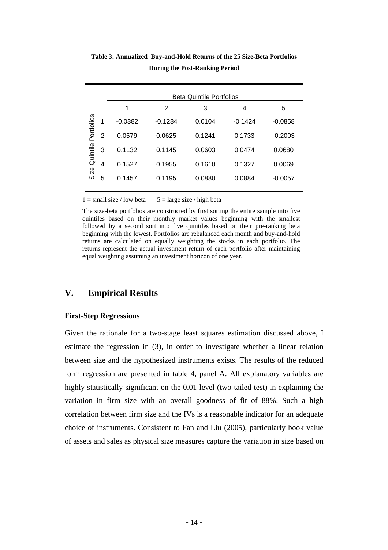|            |                | <b>Beta Quintile Portfolios</b> |           |        |           |           |  |  |  |
|------------|----------------|---------------------------------|-----------|--------|-----------|-----------|--|--|--|
|            |                | 1                               | 2         | 3      | 4         | 5         |  |  |  |
| Portfolios | 1              | $-0.0382$                       | $-0.1284$ | 0.0104 | $-0.1424$ | $-0.0858$ |  |  |  |
|            | $\overline{2}$ | 0.0579                          | 0.0625    | 0.1241 | 0.1733    | $-0.2003$ |  |  |  |
| Quintile   | 3              | 0.1132                          | 0.1145    | 0.0603 | 0.0474    | 0.0680    |  |  |  |
|            | 4              | 0.1527                          | 0.1955    | 0.1610 | 0.1327    | 0.0069    |  |  |  |
| Size       | 5              | 0.1457                          | 0.1195    | 0.0880 | 0.0884    | $-0.0057$ |  |  |  |
|            |                |                                 |           |        |           |           |  |  |  |

**Table 3: Annualized Buy-and-Hold Returns of the 25 Size-Beta Portfolios During the Post-Ranking Period** 

 $1 = \text{small size } / \text{low beta}$  5 = large size / high beta

The size-beta portfolios are constructed by first sorting the entire sample into five quintiles based on their monthly market values beginning with the smallest followed by a second sort into five quintiles based on their pre-ranking beta beginning with the lowest. Portfolios are rebalanced each month and buy-and-hold returns are calculated on equally weighting the stocks in each portfolio. The returns represent the actual investment return of each portfolio after maintaining equal weighting assuming an investment horizon of one year.

# **V. Empirical Results**

#### **First-Step Regressions**

Given the rationale for a two-stage least squares estimation discussed above, I estimate the regression in (3), in order to investigate whether a linear relation between size and the hypothesized instruments exists. The results of the reduced form regression are presented in table 4, panel A. All explanatory variables are highly statistically significant on the 0.01-level (two-tailed test) in explaining the variation in firm size with an overall goodness of fit of 88%. Such a high correlation between firm size and the IVs is a reasonable indicator for an adequate choice of instruments. Consistent to Fan and Liu (2005), particularly book value of assets and sales as physical size measures capture the variation in size based on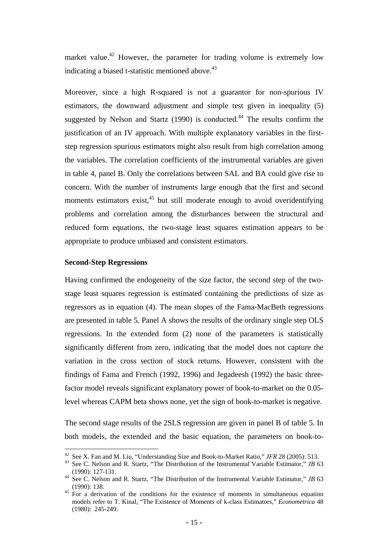market value.<sup>42</sup> However, the parameter for trading volume is extremely low indicating a biased t-statistic mentioned above.<sup>43</sup>

Moreover, since a high R-squared is not a guarantor for non-spurious IV estimators, the downward adjustment and simple test given in inequality (5) suggested by Nelson and Startz (1990) is conducted.<sup>44</sup> The results confirm the justification of an IV approach. With multiple explanatory variables in the firststep regression spurious estimators might also result from high correlation among the variables. The correlation coefficients of the instrumental variables are given in table 4, panel B. Only the correlations between SAL and BA could give rise to concern. With the number of instruments large enough that the first and second moments estimators exist, $45$  but still moderate enough to avoid overidentifying problems and correlation among the disturbances between the structural and reduced form equations, the two-stage least squares estimation appears to be appropriate to produce unbiased and consistent estimators.

#### **Second-Step Regressions**

 $\overline{a}$ 

Having confirmed the endogeneity of the size factor, the second step of the twostage least squares regression is estimated containing the predictions of size as regressors as in equation (4). The mean slopes of the Fama-MacBeth regressions are presented in table 5. Panel A shows the results of the ordinary single step OLS regressions. In the extended form (2) none of the parameters is statistically significantly different from zero, indicating that the model does not capture the variation in the cross section of stock returns. However, consistent with the findings of Fama and French (1992, 1996) and Jegadeesh (1992) the basic threefactor model reveals significant explanatory power of book-to-market on the 0.05 level whereas CAPM beta shows none, yet the sign of book-to-market is negative.

The second stage results of the 2SLS regression are given in panel B of table 5. In both models, the extended and the basic equation, the parameters on book-to-

<span id="page-16-1"></span>

<span id="page-16-0"></span><sup>&</sup>lt;sup>42</sup> See X. Fan and M. Liu, "Understanding Size and Book-to-Market Ratio," *JFR* 28 (2005): 513.<br><sup>43</sup> See C. Nelson and R. Startz, "The Distribution of the Instrumental Variable Estimator," *JB* 63

<span id="page-16-2"></span><sup>(1990): 127-131.&</sup>lt;br><sup>44</sup> See C. Nelson and R. Startz, "The Distribution of the Instrumental Variable Estimator," *JB* 63<br>(1990): 138.

<span id="page-16-3"></span><sup>&</sup>lt;sup>45</sup> For a derivation of the conditions for the existence of moments in simultaneous equation models refer to T. Kinal, "The Existence of Moments of k-class Estimators," *Econometrica* 48 (1980): 245-249.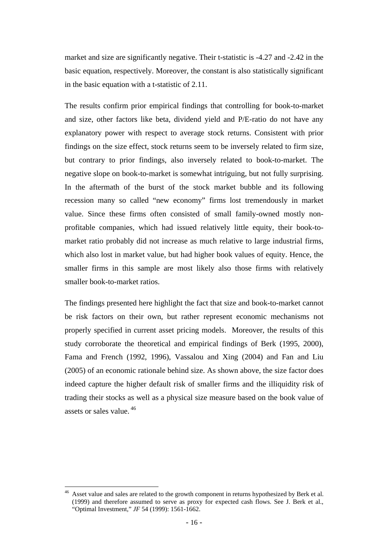market and size are significantly negative. Their t-statistic is -4.27 and -2.42 in the basic equation, respectively. Moreover, the constant is also statistically significant in the basic equation with a t-statistic of 2.11.

The results confirm prior empirical findings that controlling for book-to-market and size, other factors like beta, dividend yield and P/E-ratio do not have any explanatory power with respect to average stock returns. Consistent with prior findings on the size effect, stock returns seem to be inversely related to firm size, but contrary to prior findings, also inversely related to book-to-market. The negative slope on book-to-market is somewhat intriguing, but not fully surprising. In the aftermath of the burst of the stock market bubble and its following recession many so called "new economy" firms lost tremendously in market value. Since these firms often consisted of small family-owned mostly nonprofitable companies, which had issued relatively little equity, their book-tomarket ratio probably did not increase as much relative to large industrial firms, which also lost in market value, but had higher book values of equity. Hence, the smaller firms in this sample are most likely also those firms with relatively smaller book-to-market ratios.

The findings presented here highlight the fact that size and book-to-market cannot be risk factors on their own, but rather represent economic mechanisms not properly specified in current asset pricing models. Moreover, the results of this study corroborate the theoretical and empirical findings of Berk (1995, 2000), Fama and French (1992, 1996), Vassalou and Xing (2004) and Fan and Liu (2005) of an economic rationale behind size. As shown above, the size factor does indeed capture the higher default risk of smaller firms and the illiquidity risk of trading their stocks as well as a physical size measure based on the book value of assets or sales value. [46](#page-17-0) 

<span id="page-17-0"></span>Asset value and sales are related to the growth component in returns hypothesized by Berk et al. (1999) and therefore assumed to serve as proxy for expected cash flows. See J. Berk et al., "Optimal Investment," *JF* 54 (1999): 1561-1662.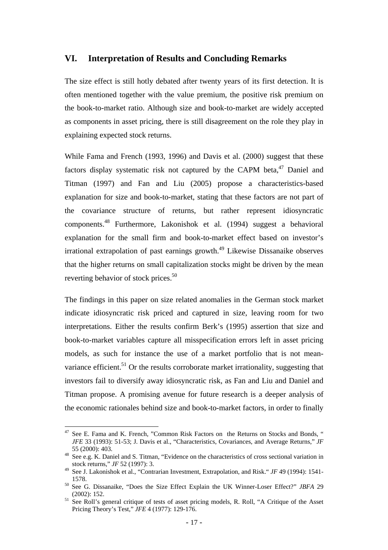### **VI. Interpretation of Results and Concluding Remarks**

The size effect is still hotly debated after twenty years of its first detection. It is often mentioned together with the value premium, the positive risk premium on the book-to-market ratio. Although size and book-to-market are widely accepted as components in asset pricing, there is still disagreement on the role they play in explaining expected stock returns.

While Fama and French (1993, 1996) and Davis et al. (2000) suggest that these factors display systematic risk not captured by the CAPM beta, $47$  Daniel and Titman (1997) and Fan and Liu (2005) propose a characteristics-based explanation for size and book-to-market, stating that these factors are not part of the covariance structure of returns, but rather represent idiosyncratic components[.48](#page-18-1) Furthermore, Lakonishok et al. (1994) suggest a behavioral explanation for the small firm and book-to-market effect based on investor's irrational extrapolation of past earnings growth.<sup>49</sup> Likewise Dissanaike observes that the higher returns on small capitalization stocks might be driven by the mean reverting behavior of stock prices.<sup>50</sup>

The findings in this paper on size related anomalies in the German stock market indicate idiosyncratic risk priced and captured in size, leaving room for two interpretations. Either the results confirm Berk's (1995) assertion that size and book-to-market variables capture all misspecification errors left in asset pricing models, as such for instance the use of a market portfolio that is not meanvariance efficient.<sup>51</sup> Or the results corroborate market irrationality, suggesting that investors fail to diversify away idiosyncratic risk, as Fan and Liu and Daniel and Titman propose. A promising avenue for future research is a deeper analysis of the economic rationales behind size and book-to-market factors, in order to finally

<span id="page-18-0"></span><sup>&</sup>lt;sup>47</sup> See E. Fama and K. French, "Common Risk Factors on the Returns on Stocks and Bonds, " *JFE* 33 (1993): 51-53; J. Davis et al., "Characteristics, Covariances, and Average Returns," *JF*

<span id="page-18-1"></span><sup>55 (2000): 403.&</sup>lt;br><sup>48</sup> See e.g. K. Daniel and S. Titman, "Evidence on the characteristics of cross sectional variation in stock returns," *JF* 52 (1997): 3.

<span id="page-18-2"></span><sup>&</sup>lt;sup>49</sup> See J. Lakonishok et al., "Contrarian Investment, Extrapolation, and Risk." *JF* 49 (1994): 1541-

<span id="page-18-3"></span><sup>1578. 50</sup> See G. Dissanaike, "Does the Size Effect Explain the UK Winner-Loser Effect?" *JBFA*<sup>29</sup> (2002): 152.<br><sup>51</sup> See Roll's general critique of tests of asset pricing models, R. Roll, "A Critique of the Asset

<span id="page-18-4"></span>Pricing Theory's Test," *JFE* 4 (1977): 129-176.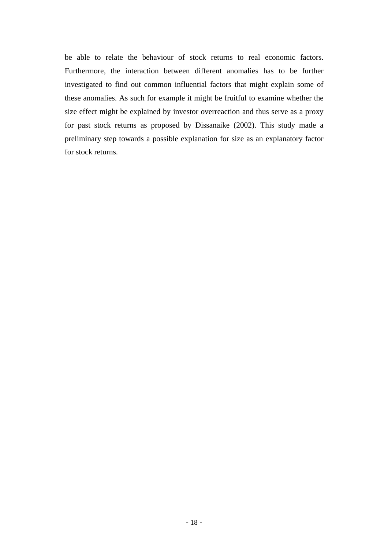be able to relate the behaviour of stock returns to real economic factors. Furthermore, the interaction between different anomalies has to be further investigated to find out common influential factors that might explain some of these anomalies. As such for example it might be fruitful to examine whether the size effect might be explained by investor overreaction and thus serve as a proxy for past stock returns as proposed by Dissanaike (2002). This study made a preliminary step towards a possible explanation for size as an explanatory factor for stock returns.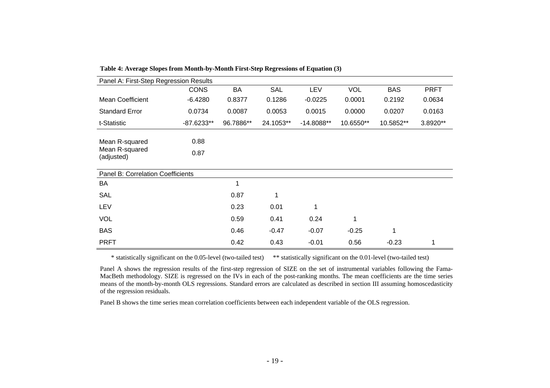| Panel A: First-Step Regression Results         |              |           |            |              |            |            |             |  |
|------------------------------------------------|--------------|-----------|------------|--------------|------------|------------|-------------|--|
|                                                | <b>CONS</b>  | BA        | <b>SAL</b> | <b>LEV</b>   | <b>VOL</b> | <b>BAS</b> | <b>PRFT</b> |  |
| <b>Mean Coefficient</b>                        | $-6.4280$    | 0.8377    | 0.1286     | $-0.0225$    | 0.0001     | 0.2192     | 0.0634      |  |
| <b>Standard Error</b>                          | 0.0734       | 0.0087    | 0.0053     | 0.0015       | 0.0000     | 0.0207     | 0.0163      |  |
| t-Statistic                                    | -87.6233**   | 96.7886** | 24.1053**  | $-14.8088**$ | 10.6550**  | 10.5852**  | 3.8920**    |  |
| Mean R-squared<br>Mean R-squared<br>(adjusted) | 0.88<br>0.87 |           |            |              |            |            |             |  |
| <b>Panel B: Correlation Coefficients</b>       |              |           |            |              |            |            |             |  |
| BA                                             |              | 1         |            |              |            |            |             |  |
| <b>SAL</b>                                     |              | 0.87      | 1          |              |            |            |             |  |
| <b>LEV</b>                                     |              | 0.23      | 0.01       | 1            |            |            |             |  |
| <b>VOL</b>                                     |              | 0.59      | 0.41       | 0.24         | 1          |            |             |  |
| <b>BAS</b>                                     |              | 0.46      | $-0.47$    | $-0.07$      | $-0.25$    | 1          |             |  |
| <b>PRFT</b>                                    |              | 0.42      | 0.43       | $-0.01$      | 0.56       | $-0.23$    | 1           |  |

**Table 4: Average Slopes from Month-by-Month First-Step Regressions of Equation (3)** 

\* statistically significant on the 0.05-level (two-tailed test) \*\* statistically significant on the 0.01-level (two-tailed test)

Panel A shows the regression results of the first-step regression of SIZE on the set of instrumental variables following the Fama-MacBeth methodology. SIZE is regressed on the IVs in each of the post-ranking months. The mean coefficients are the time series means of the month-by-month OLS regressions. Standard errors are calculated as described in section III assuming homoscedasticity of the regression residuals.

Panel B shows the time series mean correlation coefficients between each independent variable of the OLS regression.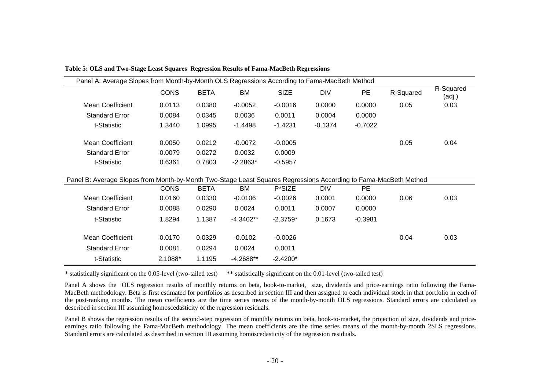| Panel A: Average Slopes from Month-by-Month OLS Regressions According to Fama-MacBeth Method                     |             |             |             |             |            |           |           |                     |
|------------------------------------------------------------------------------------------------------------------|-------------|-------------|-------------|-------------|------------|-----------|-----------|---------------------|
|                                                                                                                  | <b>CONS</b> | <b>BETA</b> | <b>BM</b>   | <b>SIZE</b> | <b>DIV</b> | PE        | R-Squared | R-Squared<br>(adj.) |
| Mean Coefficient                                                                                                 | 0.0113      | 0.0380      | $-0.0052$   | $-0.0016$   | 0.0000     | 0.0000    | 0.05      | 0.03                |
| <b>Standard Error</b>                                                                                            | 0.0084      | 0.0345      | 0.0036      | 0.0011      | 0.0004     | 0.0000    |           |                     |
| t-Statistic                                                                                                      | 1.3440      | 1.0995      | $-1.4498$   | $-1.4231$   | $-0.1374$  | $-0.7022$ |           |                     |
| Mean Coefficient                                                                                                 | 0.0050      | 0.0212      | $-0.0072$   | $-0.0005$   |            |           | 0.05      | 0.04                |
| <b>Standard Error</b>                                                                                            | 0.0079      | 0.0272      | 0.0032      | 0.0009      |            |           |           |                     |
| t-Statistic                                                                                                      | 0.6361      | 0.7803      | $-2.2863*$  | $-0.5957$   |            |           |           |                     |
|                                                                                                                  |             |             |             |             |            |           |           |                     |
| Panel B: Average Slopes from Month-by-Month Two-Stage Least Squares Regressions According to Fama-MacBeth Method | <b>CONS</b> | <b>BETA</b> | <b>BM</b>   | P*SIZE      | <b>DIV</b> | <b>PE</b> |           |                     |
| Mean Coefficient                                                                                                 | 0.0160      | 0.0330      | $-0.0106$   | $-0.0026$   | 0.0001     | 0.0000    | 0.06      | 0.03                |
| <b>Standard Error</b>                                                                                            | 0.0088      | 0.0290      | 0.0024      | 0.0011      | 0.0007     | 0.0000    |           |                     |
| t-Statistic                                                                                                      | 1.8294      | 1.1387      | $-4.3402**$ | $-2.3759*$  | 0.1673     | $-0.3981$ |           |                     |
| Mean Coefficient                                                                                                 | 0.0170      | 0.0329      | $-0.0102$   | $-0.0026$   |            |           | 0.04      | 0.03                |
| <b>Standard Error</b>                                                                                            | 0.0081      | 0.0294      | 0.0024      | 0.0011      |            |           |           |                     |
| t-Statistic                                                                                                      | 2.1088*     | 1.1195      | -4.2688**   | $-2.4200*$  |            |           |           |                     |

**Table 5: OLS and Two-Stage Least Squares Regression Results of Fama-MacBeth Regressions** 

\* statistically significant on the 0.05-level (two-tailed test) \*\* statistically significant on the 0.01-level (two-tailed test)

Panel A shows the OLS regression results of monthly returns on beta, book-to-market, size, dividends and price-earnings ratio following the Fama-MacBeth methodology. Beta is first estimated for portfolios as described in section III and then assigned to each individual stock in that portfolio in each of the post-ranking months. The mean coefficients are the time series means of the month-by-month OLS regressions. Standard errors are calculated as described in section III assuming homoscedasticity of the regression residuals.

Panel B shows the regression results of the second-step regression of monthly returns on beta, book-to-market, the projection of size, dividends and priceearnings ratio following the Fama-MacBeth methodology. The mean coefficients are the time series means of the month-by-month 2SLS regressions. Standard errors are calculated as described in section III assuming homoscedasticity of the regression residuals.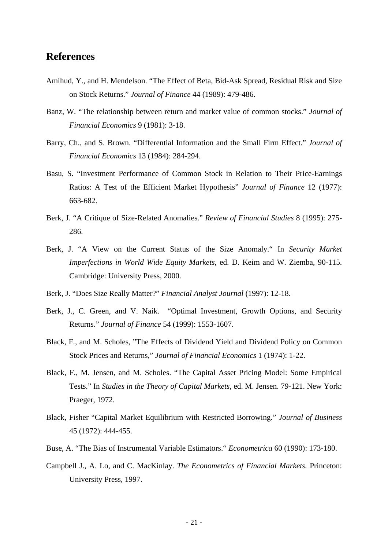# **References**

- Amihud, Y., and H. Mendelson. "The Effect of Beta, Bid-Ask Spread, Residual Risk and Size on Stock Returns." *Journal of Finance* 44 (1989): 479-486.
- Banz, W. "The relationship between return and market value of common stocks." *Journal of Financial Economics* 9 (1981): 3-18.
- Barry, Ch., and S. Brown. "Differential Information and the Small Firm Effect." *Journal of Financial Economics* 13 (1984): 284-294.
- Basu, S. "Investment Performance of Common Stock in Relation to Their Price-Earnings Ratios: A Test of the Efficient Market Hypothesis" *Journal of Finance* 12 (1977): 663-682.
- Berk, J. "A Critique of Size-Related Anomalies." *Review of Financial Studies* 8 (1995): 275- 286.
- Berk, J. "A View on the Current Status of the Size Anomaly." In *Security Market Imperfections in World Wide Equity Markets*, ed. D. Keim and W. Ziemba, 90-115. Cambridge: University Press, 2000.
- Berk, J. "Does Size Really Matter?" *Financial Analyst Journal* (1997): 12-18.
- Berk, J., C. Green, and V. Naik. "Optimal Investment, Growth Options, and Security Returns." *Journal of Finance* 54 (1999): 1553-1607.
- Black, F., and M. Scholes, "The Effects of Dividend Yield and Dividend Policy on Common Stock Prices and Returns," *Journal of Financial Economics* 1 (1974): 1-22.
- Black, F., M. Jensen, and M. Scholes. "The Capital Asset Pricing Model: Some Empirical Tests." In *Studies in the Theory of Capital Markets,* ed. M. Jensen. 79-121. New York: Praeger, 1972.
- Black, Fisher "Capital Market Equilibrium with Restricted Borrowing." *Journal of Business* 45 (1972): 444-455.
- Buse, A. "The Bias of Instrumental Variable Estimators." *Econometrica* 60 (1990): 173-180.
- Campbell J., A. Lo, and C. MacKinlay. *The Econometrics of Financial Markets.* Princeton: University Press, 1997.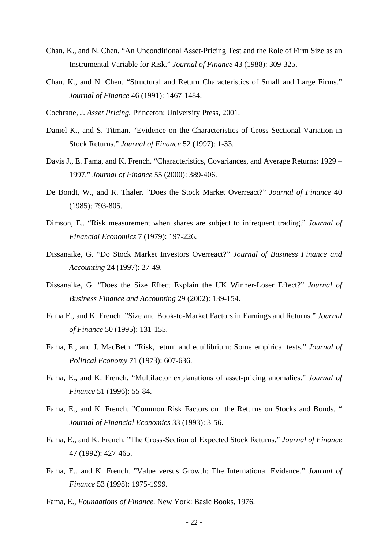- Chan, K., and N. Chen. "An Unconditional Asset-Pricing Test and the Role of Firm Size as an Instrumental Variable for Risk." *Journal of Finance* 43 (1988): 309-325.
- Chan, K., and N. Chen. "Structural and Return Characteristics of Small and Large Firms." *Journal of Finance* 46 (1991): 1467-1484.
- Cochrane, J. *Asset Pricing.* Princeton: University Press, 2001.
- Daniel K., and S. Titman. "Evidence on the Characteristics of Cross Sectional Variation in Stock Returns." *Journal of Finance* 52 (1997): 1-33.
- Davis J., E. Fama, and K. French. "Characteristics, Covariances, and Average Returns: 1929 1997." *Journal of Finance* 55 (2000): 389-406.
- De Bondt, W., and R. Thaler. "Does the Stock Market Overreact?" *Journal of Finance* 40 (1985): 793-805.
- Dimson, E.. "Risk measurement when shares are subject to infrequent trading." *Journal of Financial Economics* 7 (1979): 197-226.
- Dissanaike, G. "Do Stock Market Investors Overreact?" *Journal of Business Finance and Accounting* 24 (1997): 27-49.
- Dissanaike, G. "Does the Size Effect Explain the UK Winner-Loser Effect?" *Journal of Business Finance and Accounting* 29 (2002): 139-154.
- Fama E., and K. French. "Size and Book-to-Market Factors in Earnings and Returns." *Journal of Finance* 50 (1995): 131-155.
- Fama, E., and J. MacBeth. "Risk, return and equilibrium: Some empirical tests." *Journal of Political Economy* 71 (1973): 607-636.
- Fama, E., and K. French. "Multifactor explanations of asset-pricing anomalies." *Journal of Finance* 51 (1996): 55-84.
- Fama, E., and K. French. "Common Risk Factors on the Returns on Stocks and Bonds. " *Journal of Financial Economics* 33 (1993): 3-56.
- Fama, E., and K. French. "The Cross-Section of Expected Stock Returns." *Journal of Finance* 47 (1992): 427-465.
- Fama, E., and K. French. "Value versus Growth: The International Evidence." *Journal of Finance* 53 (1998): 1975-1999.
- Fama, E., *Foundations of Finance.* New York: Basic Books, 1976.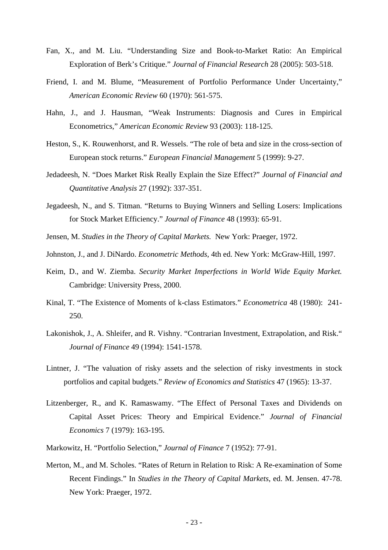- Fan, X., and M. Liu. "Understanding Size and Book-to-Market Ratio: An Empirical Exploration of Berk's Critique." *Journal of Financial Research* 28 (2005): 503-518.
- Friend, I. and M. Blume, "Measurement of Portfolio Performance Under Uncertainty," *American Economic Review* 60 (1970): 561-575.
- Hahn, J., and J. Hausman, "Weak Instruments: Diagnosis and Cures in Empirical Econometrics," *American Economic Review* 93 (2003): 118-125.
- Heston, S., K. Rouwenhorst, and R. Wessels. "The role of beta and size in the cross-section of European stock returns." *European Financial Management* 5 (1999): 9-27.
- Jedadeesh, N. "Does Market Risk Really Explain the Size Effect?" *Journal of Financial and Quantitative Analysis* 27 (1992): 337-351.
- Jegadeesh, N., and S. Titman. "Returns to Buying Winners and Selling Losers: Implications for Stock Market Efficiency." *Journal of Finance* 48 (1993): 65-91.
- Jensen, M. *Studies in the Theory of Capital Markets.* New York: Praeger, 1972.
- Johnston, J., and J. DiNardo. *Econometric Methods*, 4th ed. New York: McGraw-Hill, 1997.
- Keim, D., and W. Ziemba. *Security Market Imperfections in World Wide Equity Market.*  Cambridge: University Press, 2000.
- Kinal, T. "The Existence of Moments of k-class Estimators." *Econometrica* 48 (1980): 241- 250.
- Lakonishok, J., A. Shleifer, and R. Vishny. "Contrarian Investment, Extrapolation, and Risk." *Journal of Finance* 49 (1994): 1541-1578.
- Lintner, J. "The valuation of risky assets and the selection of risky investments in stock portfolios and capital budgets." *Review of Economics and Statistics* 47 (1965): 13-37.
- Litzenberger, R., and K. Ramaswamy. "The Effect of Personal Taxes and Dividends on Capital Asset Prices: Theory and Empirical Evidence." *Journal of Financial Economics* 7 (1979): 163-195.
- Markowitz, H. "Portfolio Selection," *Journal of Finance* 7 (1952): 77-91.
- Merton, M., and M. Scholes. "Rates of Return in Relation to Risk: A Re-examination of Some Recent Findings." In *Studies in the Theory of Capital Markets*, ed. M. Jensen. 47-78. New York: Praeger, 1972.